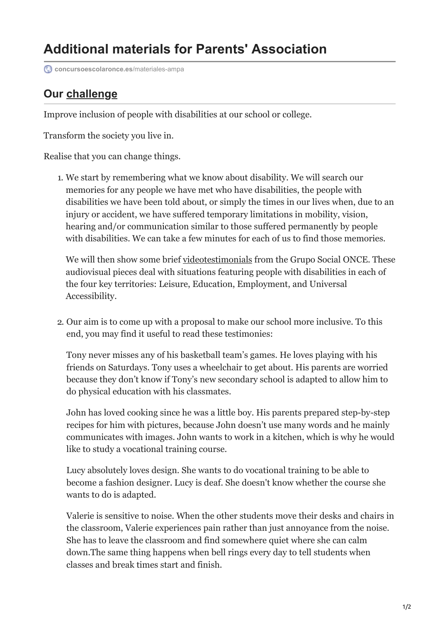## **Additional materials for Parents' Association**

**[concursoescolaronce.es](https://www.concursoescolaronce.es/materiales-ampa/?lang=en)/materiales-ampa** 

## **Our challenge**

Improve inclusion of people with disabilities at our school or college.

Transform the society you live in.

Realise that you can change things.

1. We start by remembering what we know about disability. We will search our memories for any people we have met who have disabilities, the people with disabilities we have been told about, or simply the times in our lives when, due to an injury or accident, we have suffered temporary limitations in mobility, vision, hearing and/or communication similar to those suffered permanently by people with disabilities. We can take a few minutes for each of us to find those memories.

We will then show some brief videotestimonials from the Grupo Social ONCE. These audiovisual pieces deal with situations featuring people with disabilities in each of the four key territories: Leisure, Education, Employment, and Universal Accessibility.

2. Our aim is to come up with a proposal to make our school more inclusive. To this end, you may find it useful to read these testimonies:

Tony never misses any of his basketball team's games. He loves playing with his friends on Saturdays. Tony uses a wheelchair to get about. His parents are worried because they don't know if Tony's new secondary school is adapted to allow him to do physical education with his classmates.

John has loved cooking since he was a little boy. His parents prepared step-by-step recipes for him with pictures, because John doesn't use many words and he mainly communicates with images. John wants to work in a kitchen, which is why he would like to study a vocational training course.

Lucy absolutely loves design. She wants to do vocational training to be able to become a fashion designer. Lucy is deaf. She doesn't know whether the course she wants to do is adapted.

Valerie is sensitive to noise. When the other students move their desks and chairs in the classroom, Valerie experiences pain rather than just annoyance from the noise. She has to leave the classroom and find somewhere quiet where she can calm down.The same thing happens when bell rings every day to tell students when classes and break times start and finish.